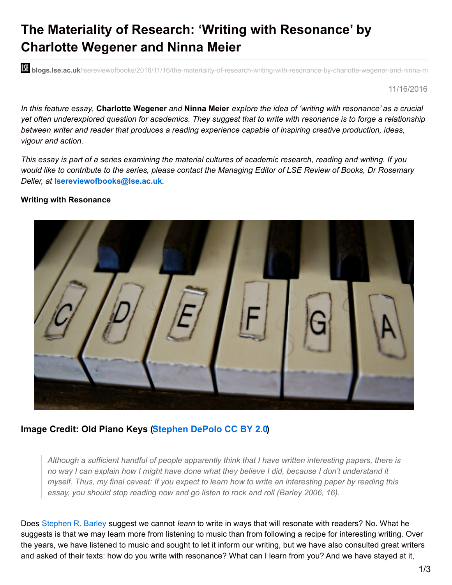## **The Materiality of Research: 'Writing with Resonance' by Charlotte Wegener and Ninna Meier**

**bli blogs.lse.ac.uk**/lsereviewofbooks/2016/11/16/the-materiality-of-research-writing-with-resonance-by-charlotte-wegener-and-ninna-m

11/16/2016

In this feature essay, Charlotte Wegener and Ninna Meier explore the idea of 'writing with resonance' as a crucial yet often underexplored question for academics. They suggest that to write with resonance is to forge a relationship *between writer and reader that produces a reading experience capable of inspiring creative production, ideas, vigour and action.*

This essay is part of a series examining the material cultures of academic research, reading and writing. If you would like to contribute to the series, please contact the Managing Editor of LSE Review of Books, Dr Rosemary *Deller, at* **[lsereviewofbooks@lse.ac.uk](mailto:lsereviewofbooks@lse.ac.uk)***.*

## **Writing with Resonance**



## **Image Credit: Old Piano Keys [\(Stephen](https://www.flickr.com/photos/stevendepolo/5645403376/) DePolo CC BY 2.0)**

*Although a sufficient handful of people apparently think that I have written interesting papers, there is* no way I can explain how I might have done what they believe I did, because I don't understand it myself. Thus, my final caveat: If you expect to learn how to write an interesting paper by reading this *essay, you should stop reading now and go listen to rock and roll (Barley 2006, 16).*

Does [Stephen](http://amj.aom.org/content/49/1/16.abstract) R. Barley suggest we cannot *learn* to write in ways that will resonate with readers? No. What he suggests is that we may learn more from listening to music than from following a recipe for interesting writing. Over the years, we have listened to music and sought to let it inform our writing, but we have also consulted great writers and asked of their texts: how do you write with resonance? What can I learn from you? And we have stayed at it,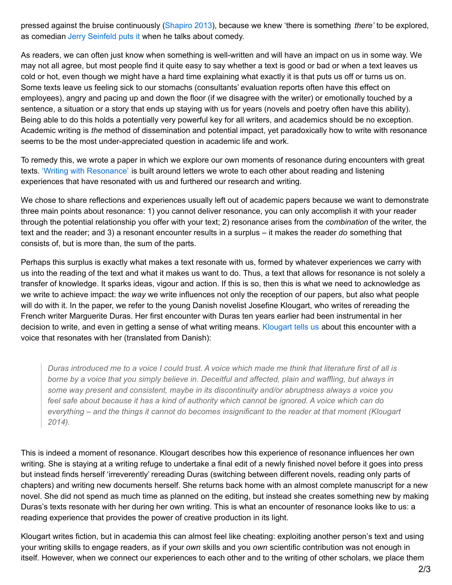pressed against the bruise continuously [\(Shapiro](http://www.groveatlantic.com/?title=Still+Writing) 2013), because we knew 'there is something *there'* to be explored, as comedian Jerry [Seinfeld](http://comediansincarsgettingcoffee.com/single-shots/comedians-going-nowhere) puts it when he talks about comedy.

As readers, we can often just know when something is well-written and will have an impact on us in some way. We may not all agree, but most people find it quite easy to say whether a text is good or bad or when a text leaves us cold or hot, even though we might have a hard time explaining what exactly it is that puts us off or turns us on. Some texts leave us feeling sick to our stomachs (consultants' evaluation reports often have this effect on employees), angry and pacing up and down the floor (if we disagree with the writer) or emotionally touched by a sentence, a situation or a story that ends up staying with us for years (novels and poetry often have this ability). Being able to do this holds a potentially very powerful key for all writers, and academics should be no exception. Academic writing is *the* method of dissemination and potential impact, yet paradoxically how to write with resonance seems to be the most under-appreciated question in academic life and work.

To remedy this, we wrote a paper in which we explore our own moments of resonance during encounters with great texts. 'Writing with [Resonance'](http://jmi.sagepub.com/content/early/2016/10/13/1056492616673911.abstract?patientinform-links=yes&legid=spjmi;1056492616673911v1) is built around letters we wrote to each other about reading and listening experiences that have resonated with us and furthered our research and writing.

We chose to share reflections and experiences usually left out of academic papers because we want to demonstrate three main points about resonance: 1) you cannot deliver resonance, you can only accomplish it with your reader through the potential relationship you offer with your text; 2) resonance arises from the *combination* of the writer, the text and the reader; and 3) a resonant encounter results in a surplus – it makes the reader *do* something that consists of, but is more than, the sum of the parts.

Perhaps this surplus is exactly what makes a text resonate with us, formed by whatever experiences we carry with us into the reading of the text and what it makes us want to do. Thus, a text that allows for resonance is not solely a transfer of knowledge. It sparks ideas, vigour and action. If this is so, then this is what we need to acknowledge as we write to achieve impact: the *way* we write influences not only the reception of our papers, but also what people will do with it. In the paper, we refer to the young Danish novelist Josefine Klougart, who writes of rereading the French writer Marguerite Duras. Her first encounter with Duras ten years earlier had been instrumental in her decision to write, and even in getting a sense of what writing means. [Klougart](https://bibliotek.dk/da/work/870971-avis%3A36104813) tells us about this encounter with a voice that resonates with her (translated from Danish):

Duras introduced me to a voice I could trust. A voice which made me think that literature first of all is borne by a voice that you simply believe in. Deceitful and affected, plain and waffling, but always in *some way present and consistent, maybe in its discontinuity and/or abruptness always a voice you* feel safe about because it has a kind of authority which cannot be ignored. A voice which can do *everything – and the things it cannot do becomes insignificant to the reader at that moment (Klougart 2014).*

This is indeed a moment of resonance. Klougart describes how this experience of resonance influences her own writing. She is staying at a writing refuge to undertake a final edit of a newly finished novel before it goes into press but instead finds herself 'irreverently' rereading Duras (switching between different novels, reading only parts of chapters) and writing new documents herself. She returns back home with an almost complete manuscript for a new novel. She did not spend as much time as planned on the editing, but instead she creates something new by making Duras's texts resonate with her during her own writing. This is what an encounter of resonance looks like to us: a reading experience that provides the power of creative production in its light.

Klougart writes fiction, but in academia this can almost feel like cheating: exploiting another person's text and using your writing skills to engage readers, as if your *own* skills and you *own* scientific contribution was not enough in itself. However, when we connect our experiences to each other and to the writing of other scholars, we place them